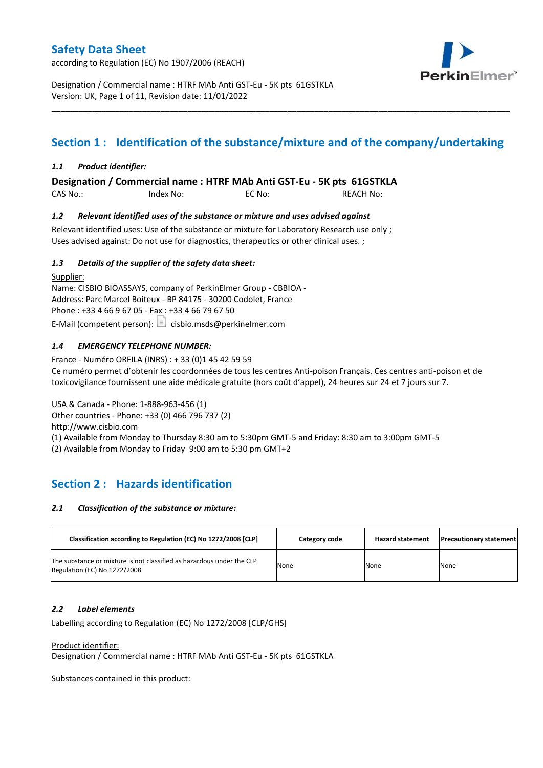according to Regulation (EC) No 1907/2006 (REACH)



Designation / Commercial name : HTRF MAb Anti GST-Eu - 5K pts 61GSTKLA Version: UK, Page 1 of 11, Revision date: 11/01/2022

# **Section 1 : Identification of the substance/mixture and of the company/undertaking**

\_\_\_\_\_\_\_\_\_\_\_\_\_\_\_\_\_\_\_\_\_\_\_\_\_\_\_\_\_\_\_\_\_\_\_\_\_\_\_\_\_\_\_\_\_\_\_\_\_\_\_\_\_\_\_\_\_\_\_\_\_\_\_\_\_\_\_\_\_\_\_\_\_\_\_\_\_\_\_\_\_\_\_\_\_\_\_\_\_\_\_\_\_\_\_\_\_\_\_\_\_

### *1.1 Product identifier:*

**Designation / Commercial name : HTRF MAb Anti GST-Eu - 5K pts 61GSTKLA** 

| CAS No.: | Index No: | EC No: | <b>REACH No:</b> |
|----------|-----------|--------|------------------|
|          |           |        |                  |

### *1.2 Relevant identified uses of the substance or mixture and uses advised against*

Relevant identified uses: Use of the substance or mixture for Laboratory Research use only ; Uses advised against: Do not use for diagnostics, therapeutics or other clinical uses. ;

### *1.3 Details of the supplier of the safety data sheet:*

Supplier: Name: CISBIO BIOASSAYS, company of PerkinElmer Group - CBBIOA - Address: Parc Marcel Boiteux - BP 84175 - 30200 Codolet, France Phone : +33 4 66 9 67 05 - Fax : +33 4 66 79 67 50 E-Mail (competent person):  $\boxed{\equiv}$  cisbio.msds@perkinelmer.com

### *1.4 EMERGENCY TELEPHONE NUMBER:*

France - Numéro ORFILA (INRS) : + 33 (0)1 45 42 59 59 Ce numéro permet d'obtenir les coordonnées de tous les centres Anti-poison Français. Ces centres anti-poison et de toxicovigilance fournissent une aide médicale gratuite (hors coût d'appel), 24 heures sur 24 et 7 jours sur 7.

USA & Canada - Phone: 1-888-963-456 (1) Other countries - Phone: +33 (0) 466 796 737 (2)

http://www.cisbio.com

(1) Available from Monday to Thursday 8:30 am to 5:30pm GMT-5 and Friday: 8:30 am to 3:00pm GMT-5

(2) Available from Monday to Friday 9:00 am to 5:30 pm GMT+2

# **Section 2 : Hazards identification**

#### *2.1 Classification of the substance or mixture:*

| Classification according to Regulation (EC) No 1272/2008 [CLP]                                        | Category code | <b>Hazard statement</b> | <b>Precautionary statement</b> |
|-------------------------------------------------------------------------------------------------------|---------------|-------------------------|--------------------------------|
| The substance or mixture is not classified as hazardous under the CLP<br>Regulation (EC) No 1272/2008 | None          | None                    | None                           |

#### *2.2 Label elements*

Labelling according to Regulation (EC) No 1272/2008 [CLP/GHS]

Product identifier:

Designation / Commercial name : HTRF MAb Anti GST-Eu - 5K pts 61GSTKLA

Substances contained in this product: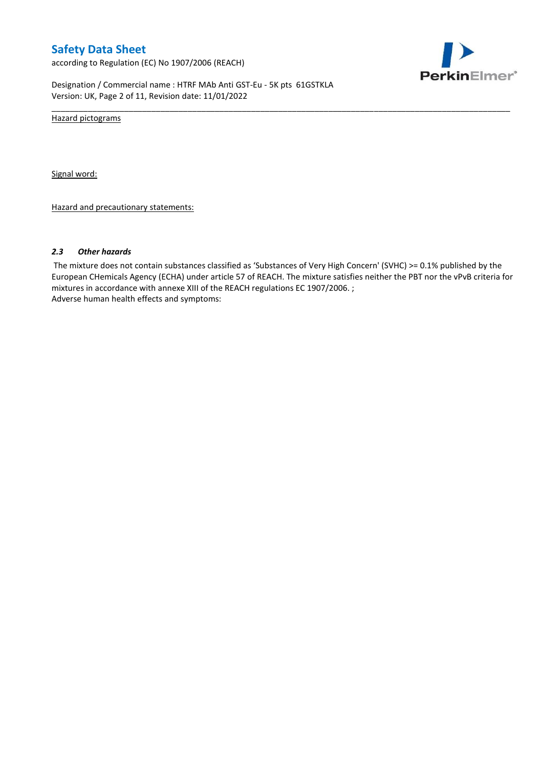according to Regulation (EC) No 1907/2006 (REACH)



Designation / Commercial name : HTRF MAb Anti GST-Eu - 5K pts 61GSTKLA Version: UK, Page 2 of 11, Revision date: 11/01/2022

Hazard pictograms

Signal word:

Hazard and precautionary statements:

#### *2.3 Other hazards*

The mixture does not contain substances classified as 'Substances of Very High Concern' (SVHC) >= 0.1% published by the European CHemicals Agency (ECHA) under article 57 of REACH. The mixture satisfies neither the PBT nor the vPvB criteria for mixtures in accordance with annexe XIII of the REACH regulations EC 1907/2006. ; Adverse human health effects and symptoms:

\_\_\_\_\_\_\_\_\_\_\_\_\_\_\_\_\_\_\_\_\_\_\_\_\_\_\_\_\_\_\_\_\_\_\_\_\_\_\_\_\_\_\_\_\_\_\_\_\_\_\_\_\_\_\_\_\_\_\_\_\_\_\_\_\_\_\_\_\_\_\_\_\_\_\_\_\_\_\_\_\_\_\_\_\_\_\_\_\_\_\_\_\_\_\_\_\_\_\_\_\_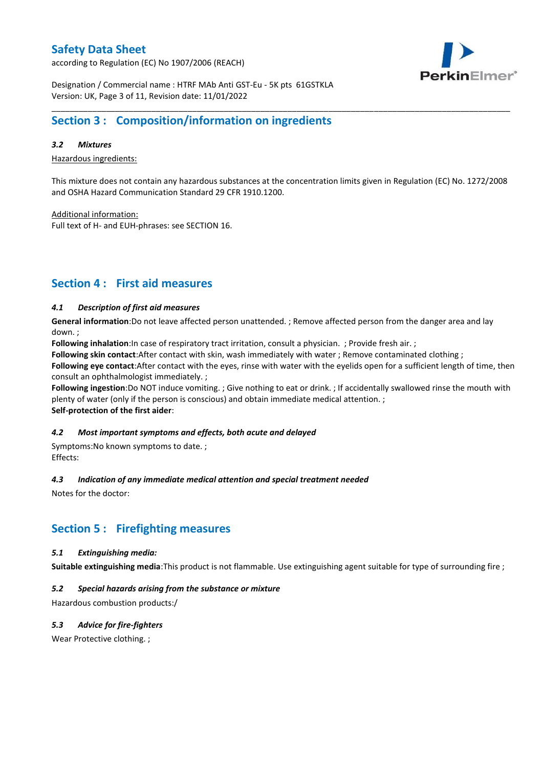according to Regulation (EC) No 1907/2006 (REACH)



Designation / Commercial name : HTRF MAb Anti GST-Eu - 5K pts 61GSTKLA Version: UK, Page 3 of 11, Revision date: 11/01/2022

# **Section 3 : Composition/information on ingredients**

### *3.2 Mixtures*

Hazardous ingredients:

This mixture does not contain any hazardous substances at the concentration limits given in Regulation (EC) No. 1272/2008 and OSHA Hazard Communication Standard 29 CFR 1910.1200.

\_\_\_\_\_\_\_\_\_\_\_\_\_\_\_\_\_\_\_\_\_\_\_\_\_\_\_\_\_\_\_\_\_\_\_\_\_\_\_\_\_\_\_\_\_\_\_\_\_\_\_\_\_\_\_\_\_\_\_\_\_\_\_\_\_\_\_\_\_\_\_\_\_\_\_\_\_\_\_\_\_\_\_\_\_\_\_\_\_\_\_\_\_\_\_\_\_\_\_\_\_

Additional information:

Full text of H- and EUH-phrases: see SECTION 16.

# **Section 4 : First aid measures**

### *4.1 Description of first aid measures*

**General information**:Do not leave affected person unattended. ; Remove affected person from the danger area and lay down. ;

**Following inhalation**:In case of respiratory tract irritation, consult a physician. ; Provide fresh air. ;

**Following skin contact**:After contact with skin, wash immediately with water ; Remove contaminated clothing ;

**Following eye contact**:After contact with the eyes, rinse with water with the eyelids open for a sufficient length of time, then consult an ophthalmologist immediately. ;

**Following ingestion**:Do NOT induce vomiting. ; Give nothing to eat or drink. ; If accidentally swallowed rinse the mouth with plenty of water (only if the person is conscious) and obtain immediate medical attention. ; **Self-protection of the first aider**:

#### *4.2 Most important symptoms and effects, both acute and delayed*

Symptoms:No known symptoms to date. ; Effects:

#### *4.3 Indication of any immediate medical attention and special treatment needed*

Notes for the doctor:

## **Section 5 : Firefighting measures**

#### *5.1 Extinguishing media:*

**Suitable extinguishing media**:This product is not flammable. Use extinguishing agent suitable for type of surrounding fire ;

### *5.2 Special hazards arising from the substance or mixture*

Hazardous combustion products:/

### *5.3 Advice for fire-fighters*

Wear Protective clothing.;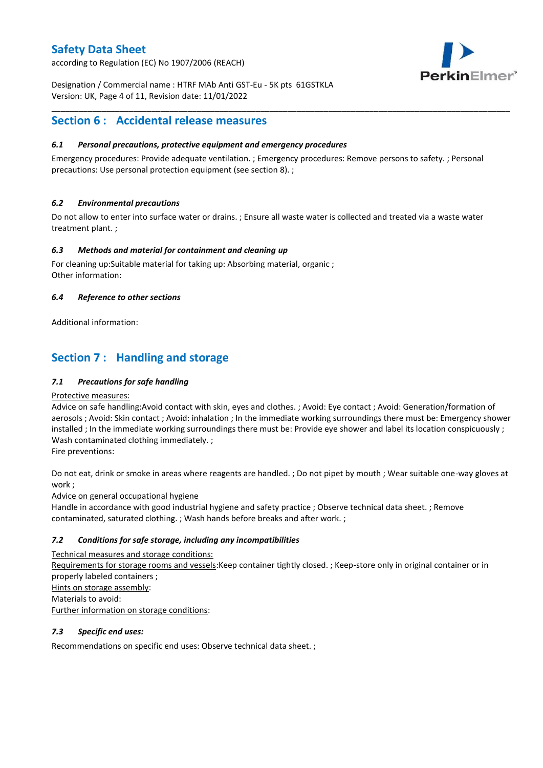according to Regulation (EC) No 1907/2006 (REACH)



Designation / Commercial name : HTRF MAb Anti GST-Eu - 5K pts 61GSTKLA Version: UK, Page 4 of 11, Revision date: 11/01/2022

# **Section 6 : Accidental release measures**

### *6.1 Personal precautions, protective equipment and emergency procedures*

Emergency procedures: Provide adequate ventilation. ; Emergency procedures: Remove persons to safety. ; Personal precautions: Use personal protection equipment (see section 8). ;

\_\_\_\_\_\_\_\_\_\_\_\_\_\_\_\_\_\_\_\_\_\_\_\_\_\_\_\_\_\_\_\_\_\_\_\_\_\_\_\_\_\_\_\_\_\_\_\_\_\_\_\_\_\_\_\_\_\_\_\_\_\_\_\_\_\_\_\_\_\_\_\_\_\_\_\_\_\_\_\_\_\_\_\_\_\_\_\_\_\_\_\_\_\_\_\_\_\_\_\_\_

### *6.2 Environmental precautions*

Do not allow to enter into surface water or drains. ; Ensure all waste water is collected and treated via a waste water treatment plant. ;

### *6.3 Methods and material for containment and cleaning up*

For cleaning up:Suitable material for taking up: Absorbing material, organic ; Other information:

### *6.4 Reference to other sections*

Additional information:

# **Section 7 : Handling and storage**

### *7.1 Precautions for safe handling*

#### Protective measures:

Advice on safe handling:Avoid contact with skin, eyes and clothes. ; Avoid: Eye contact ; Avoid: Generation/formation of aerosols ; Avoid: Skin contact ; Avoid: inhalation ; In the immediate working surroundings there must be: Emergency shower installed ; In the immediate working surroundings there must be: Provide eye shower and label its location conspicuously ; Wash contaminated clothing immediately. ;

Fire preventions:

Do not eat, drink or smoke in areas where reagents are handled. ; Do not pipet by mouth ; Wear suitable one-way gloves at work ;

Advice on general occupational hygiene

Handle in accordance with good industrial hygiene and safety practice ; Observe technical data sheet. ; Remove contaminated, saturated clothing. ; Wash hands before breaks and after work. ;

### *7.2 Conditions for safe storage, including any incompatibilities*

Technical measures and storage conditions: Requirements for storage rooms and vessels:Keep container tightly closed. ; Keep-store only in original container or in properly labeled containers ; Hints on storage assembly: Materials to avoid: Further information on storage conditions:

### *7.3 Specific end uses:*

Recommendations on specific end uses: Observe technical data sheet. ;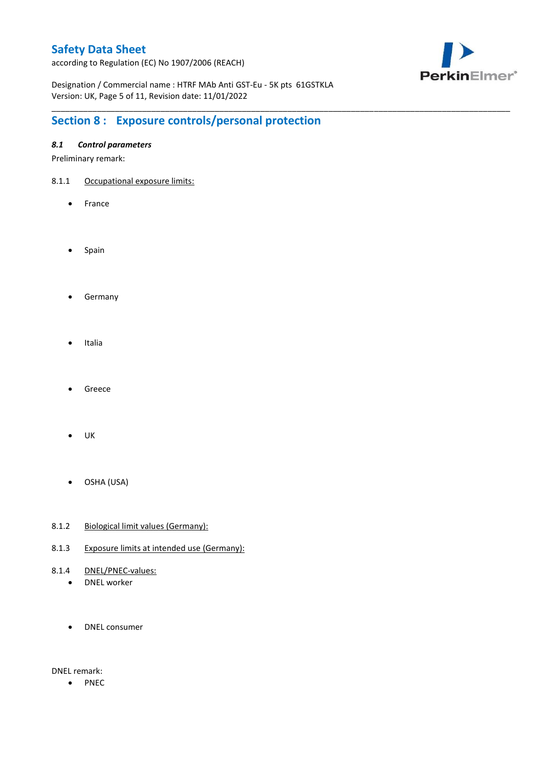according to Regulation (EC) No 1907/2006 (REACH)



Designation / Commercial name : HTRF MAb Anti GST-Eu - 5K pts 61GSTKLA Version: UK, Page 5 of 11, Revision date: 11/01/2022

\_\_\_\_\_\_\_\_\_\_\_\_\_\_\_\_\_\_\_\_\_\_\_\_\_\_\_\_\_\_\_\_\_\_\_\_\_\_\_\_\_\_\_\_\_\_\_\_\_\_\_\_\_\_\_\_\_\_\_\_\_\_\_\_\_\_\_\_\_\_\_\_\_\_\_\_\_\_\_\_\_\_\_\_\_\_\_\_\_\_\_\_\_\_\_\_\_\_\_\_\_

# **Section 8 : Exposure controls/personal protection**

### *8.1 Control parameters*

Preliminary remark:

- 8.1.1 Occupational exposure limits:
	- France
	- Spain
	- **•** Germany
	- Italia
	- Greece
	- $\bullet$  UK
	- OSHA (USA)
- 8.1.2 Biological limit values (Germany):
- 8.1.3 Exposure limits at intended use (Germany):
- 8.1.4 DNEL/PNEC-values:
	- DNEL worker
	- DNEL consumer

DNEL remark:

• PNEC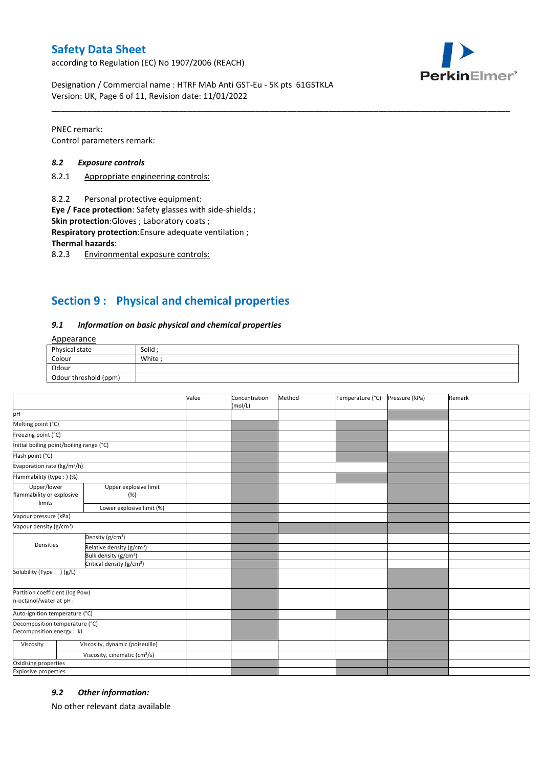according to Regulation (EC) No 1907/2006 (REACH)



Designation / Commercial name : HTRF MAb Anti GST-Eu - 5K pts 61GSTKLA Version: UK, Page 6 of 11, Revision date: 11/01/2022

PNEC remark: Control parameters remark:

#### *8.2 Exposure controls*

- 8.2.1 Appropriate engineering controls:
- 8.2.2 Personal protective equipment:

**Eye / Face protection**: Safety glasses with side-shields ;

**Skin protection**:Gloves ; Laboratory coats ;

**Respiratory protection**:Ensure adequate ventilation ;

**Thermal hazards**:

8.2.3 Environmental exposure controls:

# **Section 9 : Physical and chemical properties**

#### *9.1 Information on basic physical and chemical properties*

### Appearance

| Physical state        | Solid  |
|-----------------------|--------|
| Colour                | White; |
| Odour                 |        |
| Odour threshold (ppm) |        |

\_\_\_\_\_\_\_\_\_\_\_\_\_\_\_\_\_\_\_\_\_\_\_\_\_\_\_\_\_\_\_\_\_\_\_\_\_\_\_\_\_\_\_\_\_\_\_\_\_\_\_\_\_\_\_\_\_\_\_\_\_\_\_\_\_\_\_\_\_\_\_\_\_\_\_\_\_\_\_\_\_\_\_\_\_\_\_\_\_\_\_\_\_\_\_\_\_\_\_\_\_

|                                                             |                                           | Value | Concentration<br>(mol/L) | Method | Temperature (°C) | Pressure (kPa) | Remark |
|-------------------------------------------------------------|-------------------------------------------|-------|--------------------------|--------|------------------|----------------|--------|
| pH                                                          |                                           |       |                          |        |                  |                |        |
| Melting point (°C)                                          |                                           |       |                          |        |                  |                |        |
| Freezing point (°C)                                         |                                           |       |                          |        |                  |                |        |
| Initial boiling point/boiling range (°C)                    |                                           |       |                          |        |                  |                |        |
| Flash point (°C)                                            |                                           |       |                          |        |                  |                |        |
| Evaporation rate (kg/m <sup>2</sup> /h)                     |                                           |       |                          |        |                  |                |        |
| Flammability (type : ) (%)                                  |                                           |       |                          |        |                  |                |        |
| Upper/lower<br>flammability or explosive<br>limits          | Upper explosive limit<br>(%)              |       |                          |        |                  |                |        |
|                                                             | Lower explosive limit (%)                 |       |                          |        |                  |                |        |
| Vapour pressure (kPa)                                       |                                           |       |                          |        |                  |                |        |
| Vapour density (g/cm <sup>3</sup> )                         |                                           |       |                          |        |                  |                |        |
|                                                             | Density (g/cm <sup>3</sup> )              |       |                          |        |                  |                |        |
| Densities                                                   | Relative density (g/cm <sup>3</sup> )     |       |                          |        |                  |                |        |
|                                                             | Bulk density (g/cm <sup>3</sup> )         |       |                          |        |                  |                |        |
| Critical density (g/cm <sup>3</sup> )                       |                                           |       |                          |        |                  |                |        |
| Solubility (Type: ) (g/L)                                   |                                           |       |                          |        |                  |                |        |
| Partition coefficient (log Pow)<br>n-octanol/water at pH :  |                                           |       |                          |        |                  |                |        |
| Auto-ignition temperature (°C)                              |                                           |       |                          |        |                  |                |        |
| Decomposition temperature (°C)<br>Decomposition energy : kJ |                                           |       |                          |        |                  |                |        |
| Viscosity                                                   | Viscosity, dynamic (poiseuille)           |       |                          |        |                  |                |        |
|                                                             | Viscosity, cinematic (cm <sup>3</sup> /s) |       |                          |        |                  |                |        |
| Oxidising properties                                        |                                           |       |                          |        |                  |                |        |
| <b>Explosive properties</b>                                 |                                           |       |                          |        |                  |                |        |

#### *9.2 Other information:*

No other relevant data available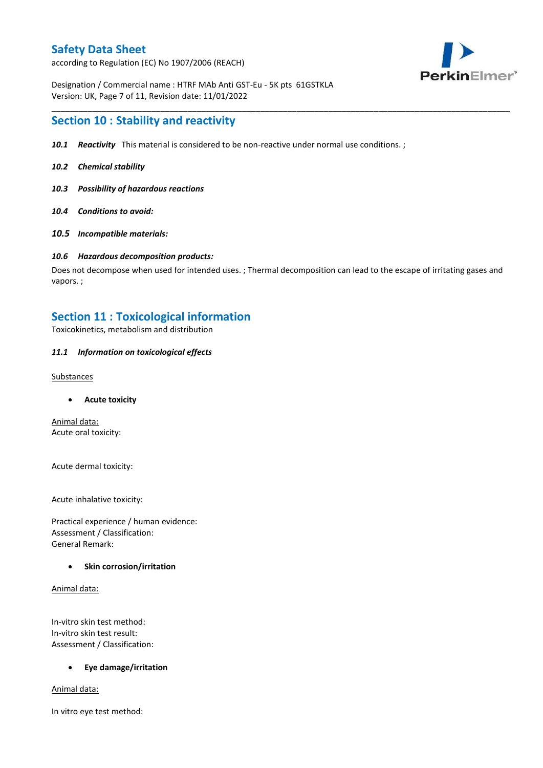according to Regulation (EC) No 1907/2006 (REACH)



Designation / Commercial name : HTRF MAb Anti GST-Eu - 5K pts 61GSTKLA Version: UK, Page 7 of 11, Revision date: 11/01/2022

## **Section 10 : Stability and reactivity**

- *10.1 Reactivity* This material is considered to be non-reactive under normal use conditions. ;
- *10.2 Chemical stability*
- *10.3 Possibility of hazardous reactions*
- *10.4 Conditions to avoid:*
- *10.5 Incompatible materials:*

#### *10.6 Hazardous decomposition products:*

Does not decompose when used for intended uses. ; Thermal decomposition can lead to the escape of irritating gases and vapors. ;

\_\_\_\_\_\_\_\_\_\_\_\_\_\_\_\_\_\_\_\_\_\_\_\_\_\_\_\_\_\_\_\_\_\_\_\_\_\_\_\_\_\_\_\_\_\_\_\_\_\_\_\_\_\_\_\_\_\_\_\_\_\_\_\_\_\_\_\_\_\_\_\_\_\_\_\_\_\_\_\_\_\_\_\_\_\_\_\_\_\_\_\_\_\_\_\_\_\_\_\_\_

# **Section 11 : Toxicological information**

Toxicokinetics, metabolism and distribution

### *11.1 Information on toxicological effects*

#### **Substances**

**Acute toxicity**

Animal data: Acute oral toxicity:

Acute dermal toxicity:

Acute inhalative toxicity:

Practical experience / human evidence: Assessment / Classification: General Remark:

#### **Skin corrosion/irritation**

Animal data:

In-vitro skin test method: In-vitro skin test result: Assessment / Classification:

#### **Eye damage/irritation**

Animal data:

In vitro eye test method: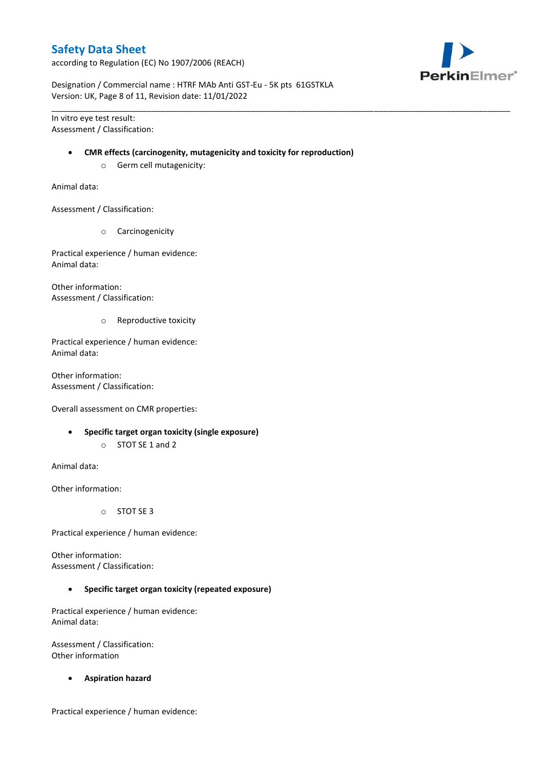according to Regulation (EC) No 1907/2006 (REACH)



Designation / Commercial name : HTRF MAb Anti GST-Eu - 5K pts 61GSTKLA Version: UK, Page 8 of 11, Revision date: 11/01/2022

In vitro eye test result: Assessment / Classification:

#### **CMR effects (carcinogenity, mutagenicity and toxicity for reproduction)**

\_\_\_\_\_\_\_\_\_\_\_\_\_\_\_\_\_\_\_\_\_\_\_\_\_\_\_\_\_\_\_\_\_\_\_\_\_\_\_\_\_\_\_\_\_\_\_\_\_\_\_\_\_\_\_\_\_\_\_\_\_\_\_\_\_\_\_\_\_\_\_\_\_\_\_\_\_\_\_\_\_\_\_\_\_\_\_\_\_\_\_\_\_\_\_\_\_\_\_\_\_

o Germ cell mutagenicity:

Animal data:

Assessment / Classification:

o Carcinogenicity

Practical experience / human evidence: Animal data:

Other information: Assessment / Classification:

o Reproductive toxicity

Practical experience / human evidence: Animal data:

Other information: Assessment / Classification:

Overall assessment on CMR properties:

- **Specific target organ toxicity (single exposure)**
	- o STOT SE 1 and 2

Animal data:

Other information:

o STOT SE 3

Practical experience / human evidence:

Other information: Assessment / Classification:

**Specific target organ toxicity (repeated exposure)**

Practical experience / human evidence: Animal data:

Assessment / Classification: Other information

**Aspiration hazard**

Practical experience / human evidence: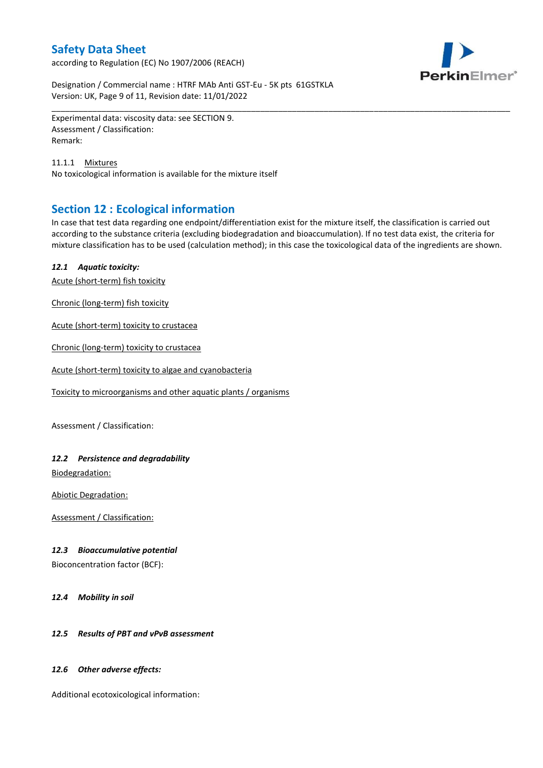according to Regulation (EC) No 1907/2006 (REACH)



Designation / Commercial name : HTRF MAb Anti GST-Eu - 5K pts 61GSTKLA Version: UK, Page 9 of 11, Revision date: 11/01/2022

Experimental data: viscosity data: see SECTION 9. Assessment / Classification: Remark:

11.1.1 Mixtures No toxicological information is available for the mixture itself

# **Section 12 : Ecological information**

In case that test data regarding one endpoint/differentiation exist for the mixture itself, the classification is carried out according to the substance criteria (excluding biodegradation and bioaccumulation). If no test data exist, the criteria for mixture classification has to be used (calculation method); in this case the toxicological data of the ingredients are shown.

\_\_\_\_\_\_\_\_\_\_\_\_\_\_\_\_\_\_\_\_\_\_\_\_\_\_\_\_\_\_\_\_\_\_\_\_\_\_\_\_\_\_\_\_\_\_\_\_\_\_\_\_\_\_\_\_\_\_\_\_\_\_\_\_\_\_\_\_\_\_\_\_\_\_\_\_\_\_\_\_\_\_\_\_\_\_\_\_\_\_\_\_\_\_\_\_\_\_\_\_\_

### *12.1 Aquatic toxicity:*

Acute (short-term) fish toxicity

Chronic (long-term) fish toxicity

Acute (short-term) toxicity to crustacea

Chronic (long-term) toxicity to crustacea

Acute (short-term) toxicity to algae and cyanobacteria

Toxicity to microorganisms and other aquatic plants / organisms

Assessment / Classification:

### *12.2 Persistence and degradability*

Biodegradation:

Abiotic Degradation:

Assessment / Classification:

#### *12.3 Bioaccumulative potential*

Bioconcentration factor (BCF):

*12.4 Mobility in soil*

### *12.5 Results of PBT and vPvB assessment*

#### *12.6 Other adverse effects:*

Additional ecotoxicological information: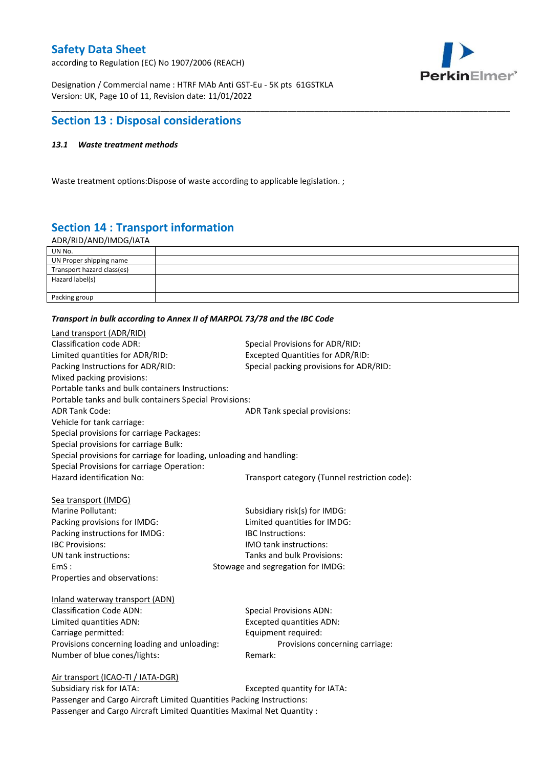according to Regulation (EC) No 1907/2006 (REACH)



Designation / Commercial name : HTRF MAb Anti GST-Eu - 5K pts 61GSTKLA Version: UK, Page 10 of 11, Revision date: 11/01/2022

# **Section 13 : Disposal considerations**

### *13.1 Waste treatment methods*

Waste treatment options:Dispose of waste according to applicable legislation. ;

# **Section 14 : Transport information**

ADR/RID/AND/IMDG/IATA

| UN No.                     |  |
|----------------------------|--|
| UN Proper shipping name    |  |
| Transport hazard class(es) |  |
| Hazard label(s)            |  |
|                            |  |
| Packing group              |  |

\_\_\_\_\_\_\_\_\_\_\_\_\_\_\_\_\_\_\_\_\_\_\_\_\_\_\_\_\_\_\_\_\_\_\_\_\_\_\_\_\_\_\_\_\_\_\_\_\_\_\_\_\_\_\_\_\_\_\_\_\_\_\_\_\_\_\_\_\_\_\_\_\_\_\_\_\_\_\_\_\_\_\_\_\_\_\_\_\_\_\_\_\_\_\_\_\_\_\_\_\_

#### *Transport in bulk according to Annex II of MARPOL 73/78 and the IBC Code*

| Land transport (ADR/RID)                                             |                                               |
|----------------------------------------------------------------------|-----------------------------------------------|
| <b>Classification code ADR:</b>                                      | Special Provisions for ADR/RID:               |
| Limited quantities for ADR/RID:                                      | <b>Excepted Quantities for ADR/RID:</b>       |
| Packing Instructions for ADR/RID:                                    | Special packing provisions for ADR/RID:       |
| Mixed packing provisions:                                            |                                               |
| Portable tanks and bulk containers Instructions:                     |                                               |
| Portable tanks and bulk containers Special Provisions:               |                                               |
| <b>ADR Tank Code:</b>                                                | ADR Tank special provisions:                  |
| Vehicle for tank carriage:                                           |                                               |
| Special provisions for carriage Packages:                            |                                               |
| Special provisions for carriage Bulk:                                |                                               |
| Special provisions for carriage for loading, unloading and handling: |                                               |
| Special Provisions for carriage Operation:                           |                                               |
| Hazard identification No:                                            | Transport category (Tunnel restriction code): |
|                                                                      |                                               |
| Sea transport (IMDG)                                                 |                                               |
| Marine Pollutant:                                                    | Subsidiary risk(s) for IMDG:                  |
| Packing provisions for IMDG:                                         | Limited quantities for IMDG:                  |
| Packing instructions for IMDG:                                       | IBC Instructions:                             |
| <b>IBC Provisions:</b>                                               | <b>IMO</b> tank instructions:                 |
| UN tank instructions:                                                | Tanks and bulk Provisions:                    |
| EmS:                                                                 | Stowage and segregation for IMDG:             |
| Properties and observations:                                         |                                               |
| Inland waterway transport (ADN)                                      |                                               |
| <b>Classification Code ADN:</b>                                      | <b>Special Provisions ADN:</b>                |
| Limited quantities ADN:                                              | <b>Excepted quantities ADN:</b>               |
| Carriage permitted:                                                  | Equipment required:                           |
| Provisions concerning loading and unloading:                         | Provisions concerning carriage:               |
| Number of blue cones/lights:                                         | Remark:                                       |
|                                                                      |                                               |
| Air transport (ICAO-TI / IATA-DGR)                                   |                                               |
| Suhsidiary risk for IATA·                                            | Excepted quantity for $IATA$ .                |

Subsidiary risk for IATA: Excepted quantity for IATA: Passenger and Cargo Aircraft Limited Quantities Packing Instructions: Passenger and Cargo Aircraft Limited Quantities Maximal Net Quantity :